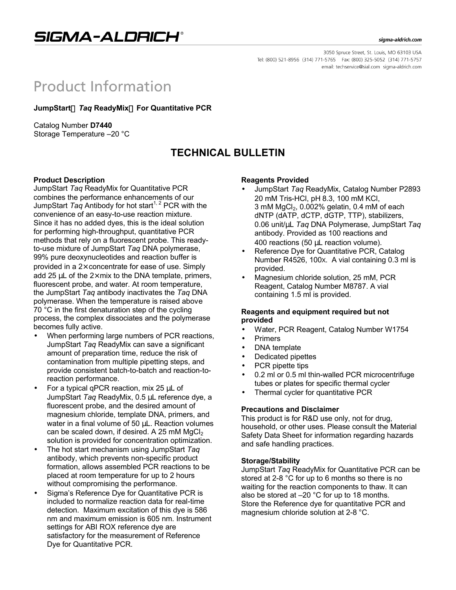

#### sigma-aldrich.com

3050 Spruce Street, St. Louis, MO 63103 USA Tel: (800) 521-8956 (314) 771-5765 Fax: (800) 325-5052 (314) 771-5757 email: techservice@sial.com sigma-aldrich.com

# **Product Information**

**JumpStart<sup>™</sup> Tag ReadyMix<sup>™</sup> For Quantitative PCR** 

Catalog Number **D7440** Storage Temperature –20 °C

## **TECHNICAL BULLETIN**

## **Product Description**

JumpStart *Taq* ReadyMix for Quantitative PCR combines the performance enhancements of our JumpStart *Taq* Antibody for hot start<sup>1, 2</sup> PCR with the convenience of an easy-to-use reaction mixture. Since it has no added dyes, this is the ideal solution for performing high-throughput, quantitative PCR methods that rely on a fluorescent probe. This readyto-use mixture of JumpStart *Taq* DNA polymerase, 99% pure deoxynucleotides and reaction buffer is provided in a  $2\times$  concentrate for ease of use. Simply add 25  $\mu$ L of the  $2\times$  mix to the DNA template, primers, fluorescent probe, and water. At room temperature, the JumpStart *Taq* antibody inactivates the *Taq* DNA polymerase. When the temperature is raised above 70 °C in the first denaturation step of the cycling process, the complex dissociates and the polymerase becomes fully active.

- When performing large numbers of PCR reactions, JumpStart *Taq* ReadyMix can save a significant amount of preparation time, reduce the risk of contamination from multiple pipetting steps, and provide consistent batch-to-batch and reaction-toreaction performance.
- For a typical qPCR reaction, mix 25 μL of JumpStart *Taq* ReadyMix, 0.5 μL reference dye, a fluorescent probe, and the desired amount of magnesium chloride, template DNA, primers, and water in a final volume of 50 μL. Reaction volumes can be scaled down, if desired. A 25 mM  $MgCl<sub>2</sub>$ solution is provided for concentration optimization.
- The hot start mechanism using JumpStart *Taq* antibody, which prevents non-specific product formation, allows assembled PCR reactions to be placed at room temperature for up to 2 hours without compromising the performance.
- Sigma's Reference Dye for Quantitative PCR is included to normalize reaction data for real-time detection. Maximum excitation of this dye is 586 nm and maximum emission is 605 nm. Instrument settings for ABI ROX reference dye are satisfactory for the measurement of Reference Dye for Quantitative PCR.

## **Reagents Provided**

- JumpStart *Taq* ReadyMix, Catalog Number P2893 20 mM Tris-HCl, pH 8.3, 100 mM KCl,  $3 \text{ mM } MgCl<sub>2</sub>$ , 0.002% gelatin, 0.4 mM of each dNTP (dATP, dCTP, dGTP, TTP), stabilizers, 0.06 unit/μL *Taq* DNA Polymerase, JumpStart *Taq* antibody. Provided as 100 reactions and 400 reactions (50 μL reaction volume).
- Reference Dye for Quantitative PCR, Catalog Number R4526, 100X. A vial containing 0.3 ml is provided.
- Magnesium chloride solution, 25 mM, PCR Reagent, Catalog Number M8787. A vial containing 1.5 ml is provided.

## **Reagents and equipment required but not provided**

- Water, PCR Reagent, Catalog Number W1754
- Primers
- DNA template
- Dedicated pipettes
- PCR pipette tips
- 0.2 ml or 0.5 ml thin-walled PCR microcentrifuge tubes or plates for specific thermal cycler
- Thermal cycler for quantitative PCR

## **Precautions and Disclaimer**

This product is for R&D use only, not for drug, household, or other uses. Please consult the Material Safety Data Sheet for information regarding hazards and safe handling practices.

## **Storage/Stability**

JumpStart *Taq* ReadyMix for Quantitative PCR can be stored at 2-8 °C for up to 6 months so there is no waiting for the reaction components to thaw. It can also be stored at –20 °C for up to 18 months. Store the Reference dye for quantitative PCR and magnesium chloride solution at 2-8 °C.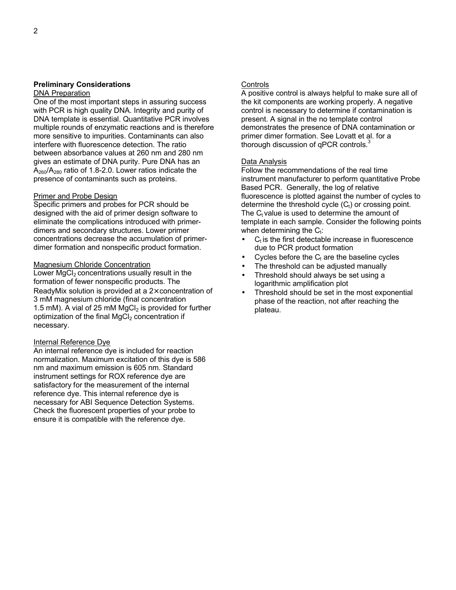#### **Preliminary Considerations DNA Preparation**

One of the most important steps in assuring success with PCR is high quality DNA. Integrity and purity of DNA template is essential. Quantitative PCR involves multiple rounds of enzymatic reactions and is therefore more sensitive to impurities. Contaminants can also interfere with fluorescence detection. The ratio between absorbance values at 260 nm and 280 nm gives an estimate of DNA purity. Pure DNA has an  $A_{260}/A_{280}$  ratio of 1.8-2.0. Lower ratios indicate the presence of contaminants such as proteins.

## Primer and Probe Design

Specific primers and probes for PCR should be designed with the aid of primer design software to eliminate the complications introduced with primerdimers and secondary structures. Lower primer concentrations decrease the accumulation of primerdimer formation and nonspecific product formation.

## Magnesium Chloride Concentration

Lower  $MqCl<sub>2</sub>$  concentrations usually result in the formation of fewer nonspecific products. The ReadyMix solution is provided at a  $2\times$  concentration of 3 mM magnesium chloride (final concentration 1.5 mM). A vial of 25 mM  $MgCl<sub>2</sub>$  is provided for further optimization of the final  $MgCl<sub>2</sub>$  concentration if necessary.

## Internal Reference Dye

An internal reference dye is included for reaction normalization. Maximum excitation of this dye is 586 nm and maximum emission is 605 nm. Standard instrument settings for ROX reference dye are satisfactory for the measurement of the internal reference dye. This internal reference dye is necessary for ABI Sequence Detection Systems. Check the fluorescent properties of your probe to ensure it is compatible with the reference dye.

## **Controls**

A positive control is always helpful to make sure all of the kit components are working properly. A negative control is necessary to determine if contamination is present. A signal in the no template control demonstrates the presence of DNA contamination or primer dimer formation. See Lovatt et al. for a thorough discussion of  $qPCR$  controls.<sup>3</sup>

## Data Analysis

Follow the recommendations of the real time instrument manufacturer to perform quantitative Probe Based PCR. Generally, the log of relative fluorescence is plotted against the number of cycles to determine the threshold cycle  $(C_t)$  or crossing point. The  $C_t$  value is used to determine the amount of template in each sample. Consider the following points when determining the  $C_t$ :

- $\bullet$  C<sub>t</sub> is the first detectable increase in fluorescence due to PCR product formation
- Cycles before the  $C_t$  are the baseline cycles
- The threshold can be adjusted manually
- Threshold should always be set using a logarithmic amplification plot
- Threshold should be set in the most exponential phase of the reaction, not after reaching the plateau.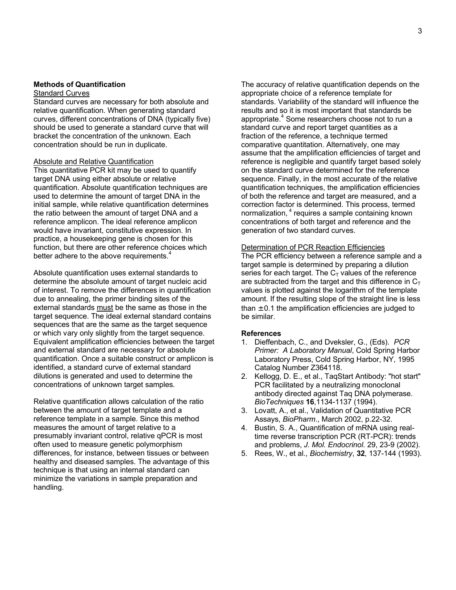## **Methods of Quantification**

## Standard Curves

Standard curves are necessary for both absolute and relative quantification. When generating standard curves, different concentrations of DNA (typically five) should be used to generate a standard curve that will bracket the concentration of the unknown. Each concentration should be run in duplicate.

## **Absolute and Relative Quantification**

This quantitative PCR kit may be used to quantify target DNA using either absolute or relative quantification. Absolute quantification techniques are used to determine the amount of target DNA in the initial sample, while relative quantification determines the ratio between the amount of target DNA and a reference amplicon. The ideal reference amplicon would have invariant, constitutive expression. In practice, a housekeeping gene is chosen for this function, but there are other reference choices which better adhere to the above requirements.<sup>4</sup>

Absolute quantification uses external standards to determine the absolute amount of target nucleic acid of interest. To remove the differences in quantification due to annealing, the primer binding sites of the external standards must be the same as those in the target sequence. The ideal external standard contains sequences that are the same as the target sequence or which vary only slightly from the target sequence. Equivalent amplification efficiencies between the target and external standard are necessary for absolute quantification. Once a suitable construct or amplicon is identified, a standard curve of external standard dilutions is generated and used to determine the concentrations of unknown target samples.

Relative quantification allows calculation of the ratio between the amount of target template and a reference template in a sample. Since this method measures the amount of target relative to a presumably invariant control, relative qPCR is most often used to measure genetic polymorphism differences, for instance, between tissues or between healthy and diseased samples. The advantage of this technique is that using an internal standard can minimize the variations in sample preparation and handling.

The accuracy of relative quantification depends on the appropriate choice of a reference template for standards. Variability of the standard will influence the results and so it is most important that standards be appropriate.<sup>4</sup> Some researchers choose not to run a standard curve and report target quantities as a fraction of the reference, a technique termed comparative quantitation. Alternatively, one may assume that the amplification efficiencies of target and reference is negligible and quantify target based solely on the standard curve determined for the reference sequence. Finally, in the most accurate of the relative quantification techniques, the amplification efficiencies of both the reference and target are measured, and a correction factor is determined. This process, termed normalization, <sup>4</sup> requires a sample containing known concentrations of both target and reference and the generation of two standard curves.

## **Determination of PCR Reaction Efficiencies**

The PCR efficiency between a reference sample and a target sample is determined by preparing a dilution series for each target. The  $C<sub>T</sub>$  values of the reference are subtracted from the target and this difference in  $C<sub>T</sub>$ values is plotted against the logarithm of the template amount. If the resulting slope of the straight line is less than  $\pm$  0.1 the amplification efficiencies are judged to be similar.

## **References**

- 1. Dieffenbach, C., and Dveksler, G., (Eds). *PCR Primer: A Laboratory Manual*, Cold Spring Harbor Laboratory Press, Cold Spring Harbor, NY, 1995 Catalog Number Z364118.
- 2. Kellogg, D. E., et al., TaqStart Antibody: "hot start" PCR facilitated by a neutralizing monoclonal antibody directed against Taq DNA polymerase. *BioTechniques* **16**,1134-1137 (1994).
- 3. Lovatt, A., et al., Validation of Quantitative PCR Assays, *BioPharm*., March 2002, p.22-32.
- 4. Bustin, S. A., Quantification of mRNA using realtime reverse transcription PCR (RT-PCR): trends and problems, *J. Mol. Endocrinol*. 29, 23-9 (2002).
- 5. Rees, W., et al., *Biochemistry*, **32**, 137-144 (1993).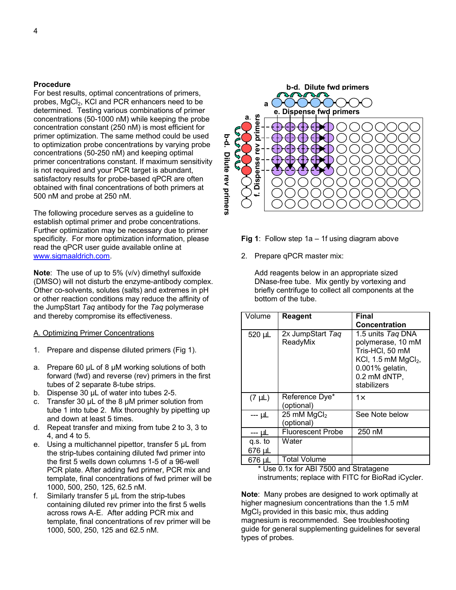## **Procedure**

For best results, optimal concentrations of primers, probes, MgCl<sub>2</sub>, KCl and PCR enhancers need to be determined. Testing various combinations of primer concentrations (50-1000 nM) while keeping the probe concentration constant (250 nM) is most efficient for primer optimization. The same method could be used to optimization probe concentrations by varying probe concentrations (50-250 nM) and keeping optimal primer concentrations constant. If maximum sensitivity is not required and your PCR target is abundant, satisfactory results for probe-based qPCR are often obtained with final concentrations of both primers at 500 nM and probe at 250 nM.

The following procedure serves as a guideline to establish optimal primer and probe concentrations. Further optimization may be necessary due to primer specificity. For more optimization information, please read the qPCR user guide available online at www.sigmaaldrich.com.

**Note**: The use of up to 5% (v/v) dimethyl sulfoxide (DMSO) will not disturb the enzyme-antibody complex. Other co-solvents, solutes (salts) and extremes in pH or other reaction conditions may reduce the affinity of the JumpStart *Taq* antibody for the *Taq* polymerase and thereby compromise its effectiveness.

## A. Optimizing Primer Concentrations

- 1. Prepare and dispense diluted primers (Fig 1).
- a. Prepare 60 µL of 8 µM working solutions of both forward (fwd) and reverse (rev) primers in the first tubes of 2 separate 8-tube strips.
- b. Dispense 30 µL of water into tubes 2-5.
- c. Transfer 30  $\mu$ L of the 8  $\mu$ M primer solution from tube 1 into tube 2. Mix thoroughly by pipetting up and down at least 5 times.
- d. Repeat transfer and mixing from tube 2 to 3, 3 to 4, and 4 to 5.
- e. Using a multichannel pipettor, transfer 5 µL from the strip-tubes containing diluted fwd primer into the first 5 wells down columns 1-5 of a 96-well PCR plate. After adding fwd primer, PCR mix and template, final concentrations of fwd primer will be 1000, 500, 250, 125, 62.5 nM.
- f. Similarly transfer  $5 \mu L$  from the strip-tubes containing diluted rev primer into the first 5 wells across rows A-E. After adding PCR mix and template, final concentrations of rev primer will be 1000, 500, 250, 125 and 62.5 nM.



**Fig 1**: Follow step 1a – 1f using diagram above

2. Prepare qPCR master mix:

Add reagents below in an appropriate sized DNase-free tube. Mix gently by vortexing and briefly centrifuge to collect all components at the bottom of the tube.

| Volume      | Reagent                               | <b>Final</b>                                                                                                                         |
|-------------|---------------------------------------|--------------------------------------------------------------------------------------------------------------------------------------|
|             |                                       | Concentration                                                                                                                        |
| 520 µL      | 2x JumpStart Taq<br>ReadyMix          | 1.5 units Tag DNA<br>polymerase, 10 mM<br>Tris-HCl, 50 mM<br>KCI, 1.5 mM $MgCl2$ ,<br>0.001% gelatin,<br>0.2 mM dNTP,<br>stabilizers |
| $(7 \mu L)$ | Reference Dye*<br>(optional)          | $1\times$                                                                                                                            |
| --- µL      | 25 mM MgCl <sub>2</sub><br>(optional) | See Note below                                                                                                                       |
| --- uL      | <b>Fluorescent Probe</b>              | 250 nM                                                                                                                               |
| q.s. to     | Water                                 |                                                                                                                                      |
| 676 µL      |                                       |                                                                                                                                      |
| 676 µL      | <b>Total Volume</b>                   |                                                                                                                                      |

\* Use 0.1x for ABI 7500 and Stratagene instruments; replace with FITC for BioRad iCycler.

**Note**: Many probes are designed to work optimally at higher magnesium concentrations than the 1.5 mM  $MgCl<sub>2</sub>$  provided in this basic mix, thus adding magnesium is recommended. See troubleshooting guide for general supplementing guidelines for several types of probes.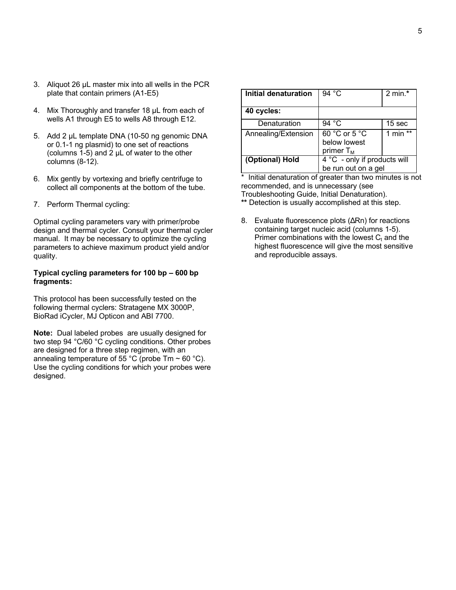- 3. Aliquot 26 µL master mix into all wells in the PCR plate that contain primers (A1-E5)
- 4. Mix Thoroughly and transfer 18 µL from each of wells A1 through E5 to wells A8 through E12.
- 5. Add 2 µL template DNA (10-50 ng genomic DNA or 0.1-1 ng plasmid) to one set of reactions (columns 1-5) and 2  $\mu$ L of water to the other columns (8-12).
- 6. Mix gently by vortexing and briefly centrifuge to collect all components at the bottom of the tube.
- 7. Perform Thermal cycling:

Optimal cycling parameters vary with primer/probe design and thermal cycler. Consult your thermal cycler manual. It may be necessary to optimize the cycling parameters to achieve maximum product yield and/or quality.

## **Typical cycling parameters for 100 bp – 600 bp fragments:**

This protocol has been successfully tested on the following thermal cyclers: Stratagene MX 3000P, BioRad iCycler, MJ Opticon and ABI 7700.

**Note:** Dual labeled probes are usually designed for two step 94 °C/60 °C cycling conditions. Other probes are designed for a three step regimen, with an annealing temperature of 55 °C (probe Tm  $\sim$  60 °C). Use the cycling conditions for which your probes were designed.

| Initial denaturation                            | 94 °C                                         | 2 min. $*$        |
|-------------------------------------------------|-----------------------------------------------|-------------------|
| 40 cycles:                                      |                                               |                   |
| Denaturation                                    | 94 $^{\circ}$ C                               | 15 <sub>sec</sub> |
| Annealing/Extension                             | 60 °C or 5 °C<br>below lowest<br>primer $T_M$ | 1 min $**$        |
| (Optional) Hold<br>4 °C - only if products will |                                               |                   |
|                                                 | be run out on a gel                           |                   |

\* Initial denaturation of greater than two minutes is not recommended, and is unnecessary (see Troubleshooting Guide, Initial Denaturation). **\*\*** Detection is usually accomplished at this step.

8. Evaluate fluorescence plots (ΔRn) for reactions containing target nucleic acid (columns 1-5). Primer combinations with the lowest  $C<sub>t</sub>$  and the highest fluorescence will give the most sensitive and reproducible assays.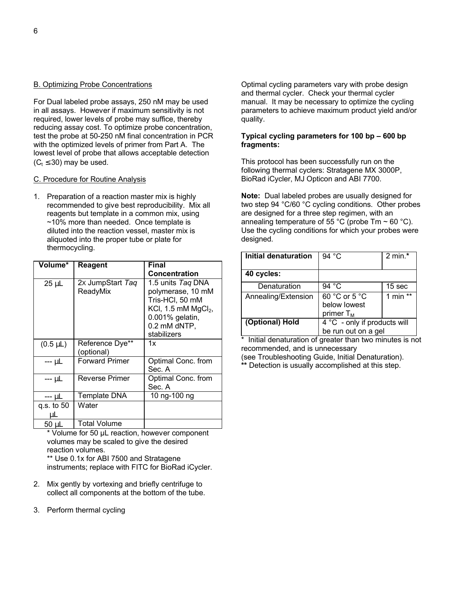## B. Optimizing Probe Concentrations

For Dual labeled probe assays, 250 nM may be used in all assays. However if maximum sensitivity is not required, lower levels of probe may suffice, thereby reducing assay cost. To optimize probe concentration, test the probe at 50-250 nM final concentration in PCR with the optimized levels of primer from Part A. The lowest level of probe that allows acceptable detection  $(C_t \leq 30)$  may be used.

## C. Procedure for Routine Analysis

1. Preparation of a reaction master mix is highly recommended to give best reproducibility. Mix all reagents but template in a common mix, using ~10% more than needed. Once template is diluted into the reaction vessel, master mix is aliquoted into the proper tube or plate for thermocycling.

| Volume*          | <b>Reagent</b>                | Final                                                                                                                                |
|------------------|-------------------------------|--------------------------------------------------------------------------------------------------------------------------------------|
|                  |                               | <b>Concentration</b>                                                                                                                 |
| $25 \mu L$       | 2x JumpStart Taq<br>ReadyMix  | 1.5 units Tag DNA<br>polymerase, 10 mM<br>Tris-HCl, 50 mM<br>KCI, 1.5 mM $MgCl2$ ,<br>0.001% gelatin,<br>0.2 mM dNTP,<br>stabilizers |
| $(0.5 \mu L)$    | Reference Dye**<br>(optional) | 1x                                                                                                                                   |
| --- µL           | <b>Forward Primer</b>         | Optimal Conc. from<br>Sec. A                                                                                                         |
| --- µL           | <b>Reverse Primer</b>         | Optimal Conc. from<br>Sec. A                                                                                                         |
| --- μL           | <b>Template DNA</b>           | 10 ng-100 ng                                                                                                                         |
| q.s. to 50<br>μL | Water                         |                                                                                                                                      |
| 50 uL            | <b>Total Volume</b>           |                                                                                                                                      |

\* Volume for 50 µL reaction, however component volumes may be scaled to give the desired reaction volumes. \*\* Use 0.1x for ABI 7500 and Stratagene

instruments; replace with FITC for BioRad iCycler.

- 2. Mix gently by vortexing and briefly centrifuge to collect all components at the bottom of the tube.
- 3. Perform thermal cycling

Optimal cycling parameters vary with probe design and thermal cycler. Check your thermal cycler manual. It may be necessary to optimize the cycling parameters to achieve maximum product yield and/or quality.

## **Typical cycling parameters for 100 bp – 600 bp fragments:**

This protocol has been successfully run on the following thermal cyclers: Stratagene MX 3000P, BioRad iCycler, MJ Opticon and ABI 7700.

**Note:** Dual labeled probes are usually designed for two step 94 °C/60 °C cycling conditions. Other probes are designed for a three step regimen, with an annealing temperature of 55 °C (probe  $Tm \sim 60$  °C). Use the cycling conditions for which your probes were designed.

| Initial denaturation | 94 $^{\circ}$ C              | $2 \text{ min}$ .* |
|----------------------|------------------------------|--------------------|
| 40 cycles:           |                              |                    |
| Denaturation         | 94 $^{\circ}$ C              | 15 <sub>sec</sub>  |
| Annealing/Extension  | 60 °C or 5 °C                | 1 min $**$         |
|                      | below lowest                 |                    |
|                      | primer $T_M$                 |                    |
| (Optional) Hold      | 4 °C - only if products will |                    |
|                      | be run out on a gel          |                    |

\* Initial denaturation of greater than two minutes is not recommended, and is unnecessary (see Troubleshooting Guide, Initial Denaturation).

**\*\*** Detection is usually accomplished at this step.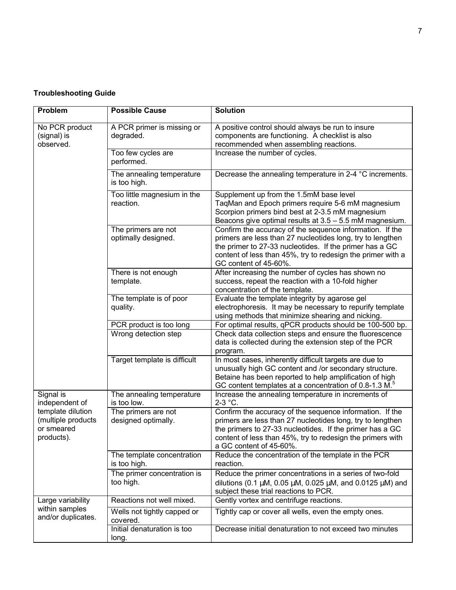## **Troubleshooting Guide**

| Problem                                                             | <b>Possible Cause</b>                      | <b>Solution</b>                                                                                                                                                                                                                                                             |
|---------------------------------------------------------------------|--------------------------------------------|-----------------------------------------------------------------------------------------------------------------------------------------------------------------------------------------------------------------------------------------------------------------------------|
| No PCR product<br>(signal) is<br>observed.                          | A PCR primer is missing or<br>degraded.    | A positive control should always be run to insure<br>components are functioning. A checklist is also<br>recommended when assembling reactions.                                                                                                                              |
|                                                                     | Too few cycles are<br>performed.           | Increase the number of cycles.                                                                                                                                                                                                                                              |
|                                                                     | The annealing temperature<br>is too high.  | Decrease the annealing temperature in 2-4 °C increments.                                                                                                                                                                                                                    |
|                                                                     | Too little magnesium in the<br>reaction.   | Supplement up from the 1.5mM base level<br>TagMan and Epoch primers require 5-6 mM magnesium<br>Scorpion primers bind best at 2-3.5 mM magnesium<br>Beacons give optimal results at 3.5 - 5.5 mM magnesium.                                                                 |
|                                                                     | The primers are not<br>optimally designed. | Confirm the accuracy of the sequence information. If the<br>primers are less than 27 nucleotides long, try to lengthen<br>the primer to 27-33 nucleotides. If the primer has a GC<br>content of less than 45%, try to redesign the primer with a<br>GC content of 45-60%.   |
|                                                                     | There is not enough<br>template.           | After increasing the number of cycles has shown no<br>success, repeat the reaction with a 10-fold higher<br>concentration of the template.                                                                                                                                  |
|                                                                     | The template is of poor<br>quality.        | Evaluate the template integrity by agarose gel<br>electrophoresis. It may be necessary to repurify template<br>using methods that minimize shearing and nicking.                                                                                                            |
|                                                                     | PCR product is too long                    | For optimal results, qPCR products should be 100-500 bp.                                                                                                                                                                                                                    |
|                                                                     | Wrong detection step                       | Check data collection steps and ensure the fluorescence<br>data is collected during the extension step of the PCR<br>program.                                                                                                                                               |
|                                                                     | Target template is difficult               | In most cases, inherently difficult targets are due to<br>unusually high GC content and /or secondary structure.<br>Betaine has been reported to help amplification of high<br>GC content templates at a concentration of 0.8-1.3 M. <sup>5</sup>                           |
| Signal is<br>independent of                                         | The annealing temperature<br>is too low.   | Increase the annealing temperature in increments of<br>$2-3$ °C.                                                                                                                                                                                                            |
| template dilution<br>(multiple products<br>or smeared<br>products). | The primers are not<br>designed optimally. | Confirm the accuracy of the sequence information. If the<br>primers are less than 27 nucleotides long, try to lengthen<br>the primers to 27-33 nucleotides. If the primer has a GC<br>content of less than 45%, try to redesign the primers with<br>a GC content of 45-60%. |
|                                                                     | The template concentration<br>is too high. | Reduce the concentration of the template in the PCR<br>reaction.                                                                                                                                                                                                            |
|                                                                     | The primer concentration is<br>too high.   | Reduce the primer concentrations in a series of two-fold<br>dilutions (0.1 $\mu$ M, 0.05 $\mu$ M, 0.025 $\mu$ M, and 0.0125 $\mu$ M) and<br>subject these trial reactions to PCR.                                                                                           |
| Large variability                                                   | Reactions not well mixed.                  | Gently vortex and centrifuge reactions.                                                                                                                                                                                                                                     |
| within samples<br>and/or duplicates.                                | Wells not tightly capped or<br>covered.    | Tightly cap or cover all wells, even the empty ones.                                                                                                                                                                                                                        |
|                                                                     | Initial denaturation is too<br>long.       | Decrease initial denaturation to not exceed two minutes                                                                                                                                                                                                                     |